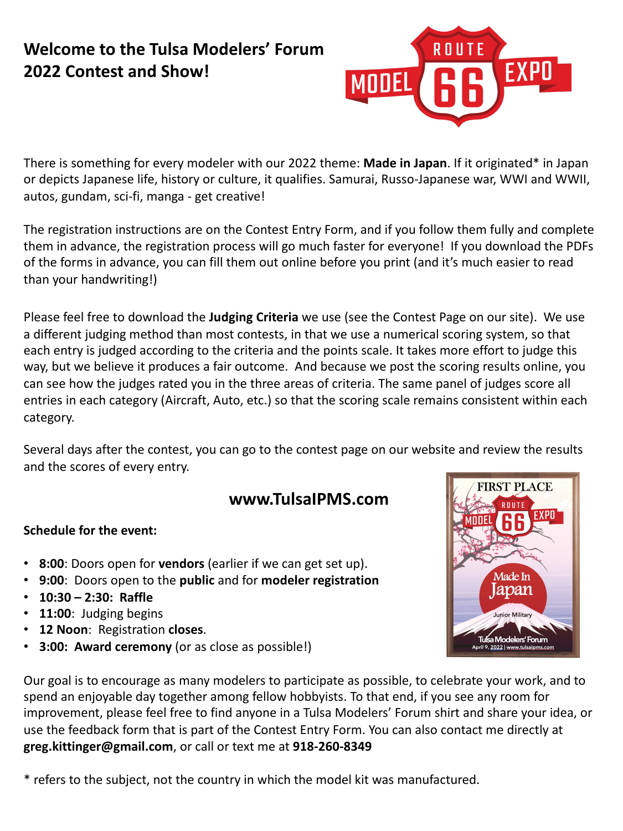# **Welcome to the Tulsa Modelers' Forum 2022 Contest and Show!**



There is something for every modeler with our 2022 theme: **Made in Japan**. If it originated\* in Japan or depicts Japanese life, history or culture, it qualifies. Samurai, Russo-Japanese war, WWI and WWII, autos, gundam, sci-fi, manga - get creative!

The registration instructions are on the Contest Entry Form, and if you follow them fully and complete them in advance, the registration process will go much faster for everyone! If you download the PDFs of the forms in advance, you can fill them out online before you print (and it's much easier to read than your handwriting!)

Please feel free to download the **Judging Criteria** we use (see the Contest Page on our site). We use a different judging method than most contests, in that we use a numerical scoring system, so that each entry is judged according to the criteria and the points scale. It takes more effort to judge this way, but we believe it produces a fair outcome. And because we post the scoring results online, you can see how the judges rated you in the three areas of criteria. The same panel of judges score all entries in each category (Aircraft, Auto, etc.) so that the scoring scale remains consistent within each category.

Several days after the contest, you can go to the contest page on our website and review the results and the scores of every entry.

## **www.TulsaIPMS.com**

### **Schedule for the event:**

- **8:00**: Doors open for **vendors** (earlier if we can get set up).
- **9:00**: Doors open to the **public** and for **modeler registration**
- **10:30 – 2:30: Raffle**
- **11:00**: Judging begins
- **12 Noon**: Registration **closes**.
- **3:00: Award ceremony** (or as close as possible!)

Our goal is to encourage as many modelers to participate as possible, to celebrate your work, and to spend an enjoyable day together among fellow hobbyists. To that end, if you see any room for improvement, please feel free to find anyone in a Tulsa Modelers' Forum shirt and share your idea, or use the feedback form that is part of the Contest Entry Form. You can also contact me directly at **greg.kittinger@gmail.com**, or call or text me at **918-260-8349**

\* refers to the subject, not the country in which the model kit was manufactured.

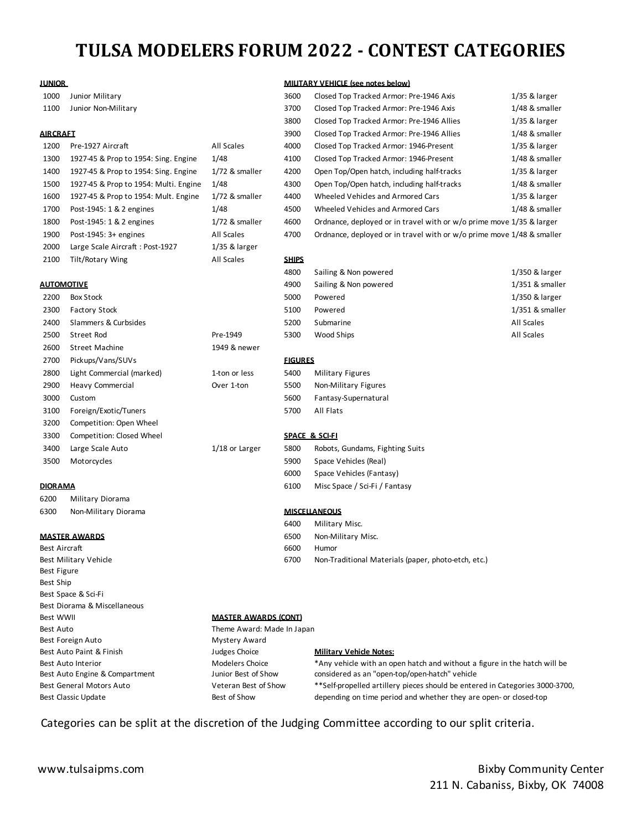# **TEGORIES**

| <b>JUNIOR</b>                                  |                                       |                                |                | <b>MILITARY VEHICLE (see notes below)</b>                                                                  |                 |  |  |
|------------------------------------------------|---------------------------------------|--------------------------------|----------------|------------------------------------------------------------------------------------------------------------|-----------------|--|--|
| 1000                                           | Junior Military                       |                                | 3600           | Closed Top Tracked Armor: Pre-1946 Axis                                                                    | $1/35$ & larger |  |  |
| 1100                                           | Junior Non-Military                   |                                | 3700           | Closed Top Tracked Armor: Pre-1946 Axis                                                                    | 1/48 & smaller  |  |  |
|                                                |                                       |                                | 3800           | Closed Top Tracked Armor: Pre-1946 Allies                                                                  | $1/35$ & larger |  |  |
| <b>AIRCRAFT</b>                                |                                       |                                | 3900           | Closed Top Tracked Armor: Pre-1946 Allies                                                                  | 1/48 & smaller  |  |  |
| 1200                                           | Pre-1927 Aircraft                     | All Scales                     | 4000           | Closed Top Tracked Armor: 1946-Present                                                                     | $1/35$ & larger |  |  |
| 1300                                           | 1927-45 & Prop to 1954: Sing. Engine  | 1/48                           | 4100           | Closed Top Tracked Armor: 1946-Present                                                                     | 1/48 & smaller  |  |  |
| 1400                                           | 1927-45 & Prop to 1954: Sing. Engine  | 1/72 & smaller                 | 4200           | Open Top/Open hatch, including half-tracks                                                                 | $1/35$ & larger |  |  |
| 1500                                           | 1927-45 & Prop to 1954: Multi. Engine | 1/48                           | 4300           | Open Top/Open hatch, including half-tracks                                                                 | 1/48 & smaller  |  |  |
| 1600                                           | 1927-45 & Prop to 1954: Mult. Engine  | 1/72 & smaller                 | 4400           | Wheeled Vehicles and Armored Cars                                                                          | $1/35$ & larger |  |  |
| 1700                                           | Post-1945: 1 & 2 engines              | 1/48                           | 4500           | Wheeled Vehicles and Armored Cars                                                                          | 1/48 & smaller  |  |  |
| 1800                                           | Post-1945: 1 & 2 engines              | 1/72 & smaller                 | 4600           | Ordnance, deployed or in travel with or w/o prime move 1/35 & larger                                       |                 |  |  |
| 1900                                           | Post-1945: $3+$ engines               | All Scales                     | 4700           | Ordnance, deployed or in travel with or w/o prime move 1/48 & smaller                                      |                 |  |  |
| 2000                                           | Large Scale Aircraft: Post-1927       | $1/35$ & larger                |                |                                                                                                            |                 |  |  |
| 2100                                           | Tilt/Rotary Wing                      | All Scales                     | <b>SHIPS</b>   |                                                                                                            |                 |  |  |
|                                                |                                       |                                | 4800           | Sailing & Non powered                                                                                      | 1/350 & larger  |  |  |
| <b>AUTOMOTIVE</b>                              |                                       |                                | 4900           | Sailing & Non powered                                                                                      | 1/351 & smalle  |  |  |
| 2200                                           | <b>Box Stock</b>                      |                                | 5000           | Powered                                                                                                    | 1/350 & larger  |  |  |
| 2300                                           | <b>Factory Stock</b>                  |                                | 5100           | Powered                                                                                                    | 1/351 & smalle  |  |  |
| 2400                                           | Slammers & Curbsides                  |                                | 5200           | Submarine                                                                                                  | All Scales      |  |  |
| 2500                                           | Street Rod                            | Pre-1949                       | 5300           | Wood Ships                                                                                                 | All Scales      |  |  |
| 2600                                           | <b>Street Machine</b>                 | 1949 & newer                   |                |                                                                                                            |                 |  |  |
| 2700                                           | Pickups/Vans/SUVs                     |                                | <b>FIGURES</b> |                                                                                                            |                 |  |  |
| 2800                                           | Light Commercial (marked)             | 1-ton or less                  | 5400           | <b>Military Figures</b>                                                                                    |                 |  |  |
| 2900                                           | Heavy Commercial                      | Over 1-ton                     | 5500           | Non-Military Figures                                                                                       |                 |  |  |
| 3000                                           | Custom                                |                                | 5600           | Fantasy-Supernatural                                                                                       |                 |  |  |
| 3100                                           | Foreign/Exotic/Tuners                 |                                | 5700           | All Flats                                                                                                  |                 |  |  |
| 3200                                           | Competition: Open Wheel               |                                |                |                                                                                                            |                 |  |  |
| 3300                                           | Competition: Closed Wheel             |                                |                | SPACE & SCI-EI                                                                                             |                 |  |  |
| 3400                                           | Large Scale Auto                      | $1/18$ or Larger               | 5800           | Robots, Gundams, Fighting Suits                                                                            |                 |  |  |
| 3500                                           | Motorcycles                           |                                | 5900           | Space Vehicles (Real)                                                                                      |                 |  |  |
|                                                |                                       |                                | 6000           | Space Vehicles (Fantasy)                                                                                   |                 |  |  |
| <b>DIORAMA</b>                                 |                                       |                                | 6100           | Misc Space / Sci-Fi / Fantasy                                                                              |                 |  |  |
| 6200                                           | Military Diorama                      |                                |                |                                                                                                            |                 |  |  |
| 6300                                           | Non-Military Diorama                  |                                |                | <b>MISCELLANEOUS</b>                                                                                       |                 |  |  |
|                                                |                                       |                                | 6400           | Military Misc.                                                                                             |                 |  |  |
|                                                | <b>MASTER AWARDS</b>                  |                                | 6500           | Non-Military Misc.                                                                                         |                 |  |  |
| Best Aircraft                                  |                                       |                                | 6600           | Humor                                                                                                      |                 |  |  |
| Best Military Vehicle                          |                                       |                                | 6700           | Non-Traditional Materials (paper, photo-etch, etc.)                                                        |                 |  |  |
| Best Figure                                    |                                       |                                |                |                                                                                                            |                 |  |  |
| Best Ship                                      |                                       |                                |                |                                                                                                            |                 |  |  |
|                                                | Best Space & Sci-Fi                   |                                |                |                                                                                                            |                 |  |  |
|                                                | Best Diorama & Miscellaneous          |                                |                |                                                                                                            |                 |  |  |
| Best WWII                                      |                                       | <b>MASTER AWARDS (CONT)</b>    |                |                                                                                                            |                 |  |  |
| Best Auto                                      |                                       | Theme Award: Made In Japan     |                |                                                                                                            |                 |  |  |
|                                                | Best Foreign Auto                     | Mystery Award<br>Judges Choice |                |                                                                                                            |                 |  |  |
| Best Auto Paint & Finish<br>Best Auto Interior |                                       | Modelers Choice                |                | <b>Military Vehicle Notes:</b><br>*Any vehicle with an open hatch and without a figure in the hatch will b |                 |  |  |

Best Auto Interior Modelers Choice \*Any vehicle with an open hatch and without a figure in the hatch will be<br>Best Auto Engine & Compartment Junior Best of Show considered as an "open-top/open-hatch" vehicle considered as an "open-top/open-hatch" vehicle Best General Motors Auto Veteran Best of Show \*\*Self-propelled artillery pieces should be entered in Categories 3000-3700, Best Of Show depending on time period and whether they are open- or closed-top best of Show depending on time period and whether they are open- or closed-top

Categories can be split at the discretion of the Judging Committee according to our split criteria.

1/350 & larger **1/351 & smaller** 

 $1/351$  & smaller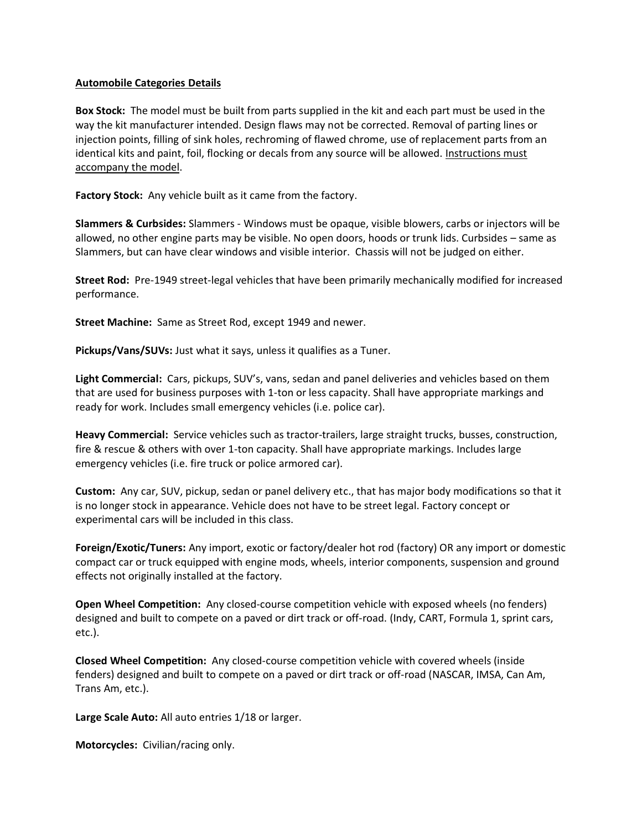#### **Automobile Categories Details**

**Box Stock:** The model must be built from parts supplied in the kit and each part must be used in the way the kit manufacturer intended. Design flaws may not be corrected. Removal of parting lines or injection points, filling of sink holes, rechroming of flawed chrome, use of replacement parts from an identical kits and paint, foil, flocking or decals from any source will be allowed. Instructions must accompany the model.

**Factory Stock:** Any vehicle built as it came from the factory.

**Slammers & Curbsides:** Slammers - Windows must be opaque, visible blowers, carbs or injectors will be allowed, no other engine parts may be visible. No open doors, hoods or trunk lids. Curbsides – same as Slammers, but can have clear windows and visible interior. Chassis will not be judged on either.

**Street Rod:** Pre-1949 street-legal vehicles that have been primarily mechanically modified for increased performance.

**Street Machine:** Same as Street Rod, except 1949 and newer.

**Pickups/Vans/SUVs:** Just what it says, unless it qualifies as a Tuner.

**Light Commercial:** Cars, pickups, SUV's, vans, sedan and panel deliveries and vehicles based on them that are used for business purposes with 1-ton or less capacity. Shall have appropriate markings and ready for work. Includes small emergency vehicles (i.e. police car).

**Heavy Commercial:** Service vehicles such as tractor-trailers, large straight trucks, busses, construction, fire & rescue & others with over 1-ton capacity. Shall have appropriate markings. Includes large emergency vehicles (i.e. fire truck or police armored car).

**Custom:** Any car, SUV, pickup, sedan or panel delivery etc., that has major body modifications so that it is no longer stock in appearance. Vehicle does not have to be street legal. Factory concept or experimental cars will be included in this class.

**Foreign/Exotic/Tuners:** Any import, exotic or factory/dealer hot rod (factory) OR any import or domestic compact car or truck equipped with engine mods, wheels, interior components, suspension and ground effects not originally installed at the factory.

**Open Wheel Competition:** Any closed-course competition vehicle with exposed wheels (no fenders) designed and built to compete on a paved or dirt track or off-road. (Indy, CART, Formula 1, sprint cars, etc.).

**Closed Wheel Competition:** Any closed-course competition vehicle with covered wheels (inside fenders) designed and built to compete on a paved or dirt track or off-road (NASCAR, IMSA, Can Am, Trans Am, etc.).

**Large Scale Auto:** All auto entries 1/18 or larger.

**Motorcycles:** Civilian/racing only.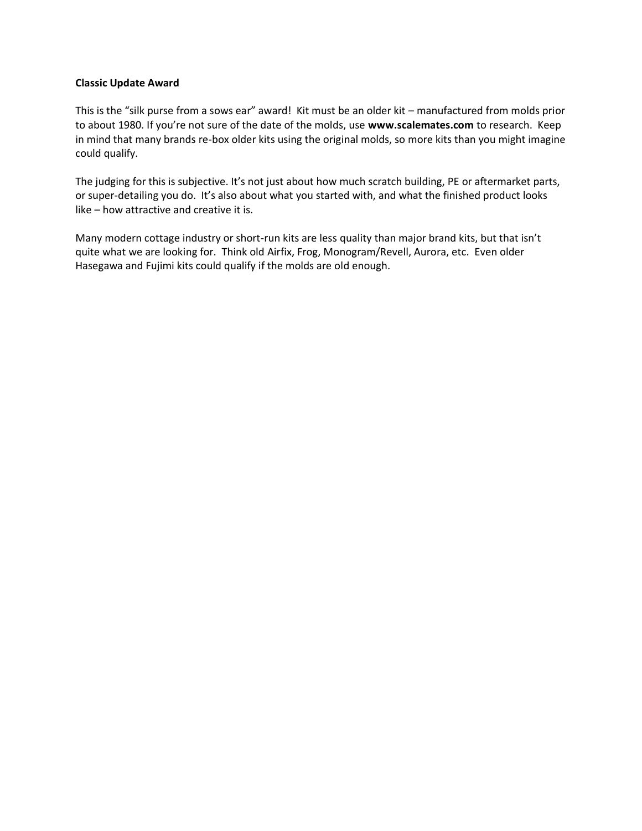#### **Classic Update Award**

This is the "silk purse from a sows ear" award! Kit must be an older kit – manufactured from molds prior to about 1980. If you're not sure of the date of the molds, use **www.scalemates.com** to research. Keep in mind that many brands re-box older kits using the original molds, so more kits than you might imagine could qualify.

The judging for this is subjective. It's not just about how much scratch building, PE or aftermarket parts, or super-detailing you do. It's also about what you started with, and what the finished product looks like – how attractive and creative it is.

Many modern cottage industry or short-run kits are less quality than major brand kits, but that isn't quite what we are looking for. Think old Airfix, Frog, Monogram/Revell, Aurora, etc. Even older Hasegawa and Fujimi kits could qualify if the molds are old enough.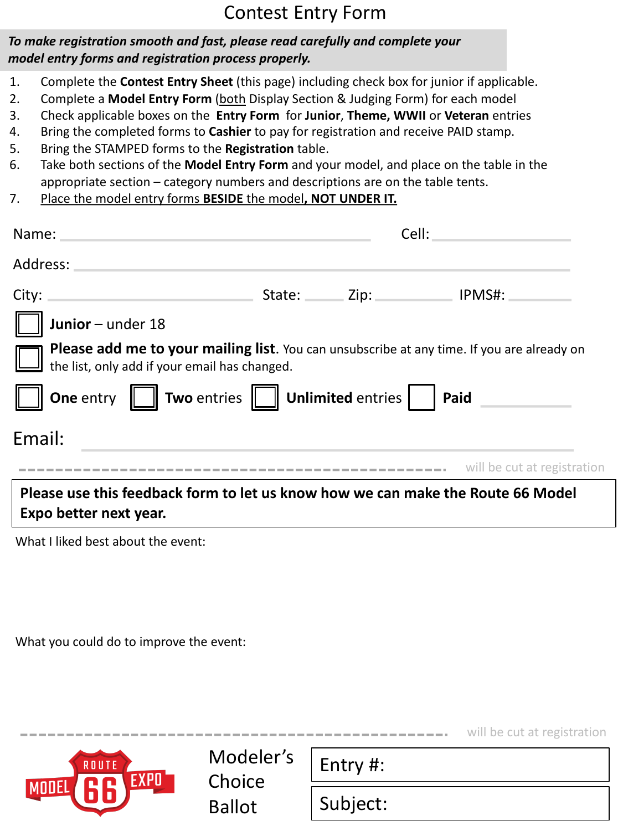# Contest Entry Form

### *To make registration smooth and fast, please read carefully and complete your model entry forms and registration process properly.*

- 1. Complete the **Contest Entry Sheet** (this page) including check box for junior if applicable.
- 2. Complete a **Model Entry Form** (both Display Section & Judging Form) for each model
- 3. Check applicable boxes on the **Entry Form** for **Junior**, **Theme, WWII** or **Veteran** entries
- 4. Bring the completed forms to **Cashier** to pay for registration and receive PAID stamp.
- 5. Bring the STAMPED forms to the **Registration** table.
- 6. Take both sections of the **Model Entry Form** and your model, and place on the table in the appropriate section – category numbers and descriptions are on the table tents.
- 7. Place the model entry forms **BESIDE** the model**, NOT UNDER IT.**

| Name:                                                                                                                                            | Cell: |                                                  |  |  |  |
|--------------------------------------------------------------------------------------------------------------------------------------------------|-------|--------------------------------------------------|--|--|--|
| Address:                                                                                                                                         |       |                                                  |  |  |  |
| City: <b>City:</b> Production of the City:                                                                                                       |       | State: <u>Unit and Zip:</u> The UPMS#:           |  |  |  |
| $\ $ Junior – under 18                                                                                                                           |       |                                                  |  |  |  |
| <b>Please add me to your mailing list</b> . You can unsubscribe at any time. If you are already on the list, only add if your email has changed. |       |                                                  |  |  |  |
| $\Box$ One entry $\Box$ Two entries $\Box$ Unlimited entries Paid                                                                                |       |                                                  |  |  |  |
| Email:                                                                                                                                           |       |                                                  |  |  |  |
|                                                                                                                                                  |       | <b>___________</b> , will be cut at registration |  |  |  |
| Please use this feedback form to let us know how we can make the Route 66 Model<br>Expo better next year.                                        |       |                                                  |  |  |  |

What I liked best about the event:

What you could do to improve the event:

| <b>Contract Contract</b> |  |  |  | will be cut at registration |
|--------------------------|--|--|--|-----------------------------|
|--------------------------|--|--|--|-----------------------------|



| Modeler's     |
|---------------|
| Choice        |
| <b>Ballot</b> |

| Entry $\#$ : |  |
|--------------|--|
|--------------|--|

Subject: